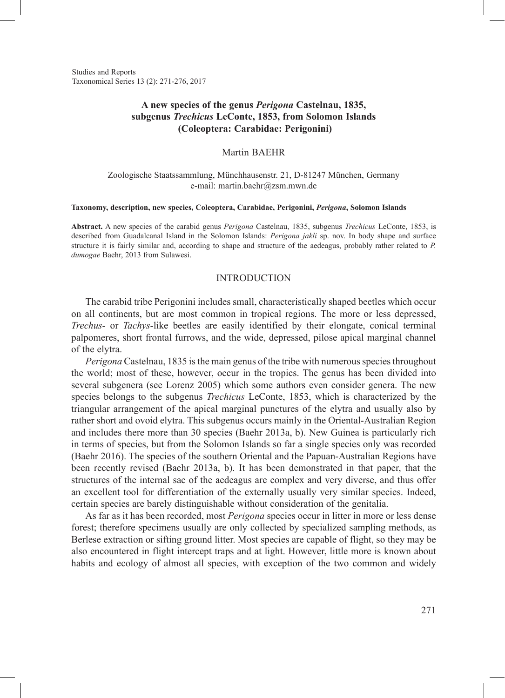Studies and Reports Taxonomical Series 13 (2): 271-276, 2017

# **A new species of the genus** *Perigona* **Castelnau, 1835, subgenus** *Trechicus* **LeConte, 1853, from Solomon Islands (Coleoptera: Carabidae: Perigonini)**

## Martin BAEHR

## Zoologische Staatssammlung, Münchhausenstr. 21, D-81247 München, Germany e-mail: martin.baehr@zsm.mwn.de

#### **Taxonomy, description, new species, Coleoptera, Carabidae, Perigonini,** *Perigona***, Solomon Islands**

**Abstract.** A new species of the carabid genus *Perigona* Castelnau, 1835, subgenus *Trechicus* LeConte, 1853, is described from Guadalcanal Island in the Solomon Islands: *Perigona jakli* sp. nov. In body shape and surface structure it is fairly similar and, according to shape and structure of the aedeagus, probably rather related to *P. dumogae* Baehr, 2013 from Sulawesi.

### INTRODUCTION

The carabid tribe Perigonini includes small, characteristically shaped beetles which occur on all continents, but are most common in tropical regions. The more or less depressed, *Trechus*- or *Tachys*-like beetles are easily identified by their elongate, conical terminal palpomeres, short frontal furrows, and the wide, depressed, pilose apical marginal channel of the elytra.

*Perigona* Castelnau, 1835 is the main genus of the tribe with numerous species throughout the world; most of these, however, occur in the tropics. The genus has been divided into several subgenera (see Lorenz 2005) which some authors even consider genera. The new species belongs to the subgenus *Trechicus* LeConte, 1853, which is characterized by the triangular arrangement of the apical marginal punctures of the elytra and usually also by rather short and ovoid elytra. This subgenus occurs mainly in the Oriental-Australian Region and includes there more than 30 species (Baehr 2013a, b). New Guinea is particularly rich in terms of species, but from the Solomon Islands so far a single species only was recorded (Baehr 2016). The species of the southern Oriental and the Papuan-Australian Regions have been recently revised (Baehr 2013a, b). It has been demonstrated in that paper, that the structures of the internal sac of the aedeagus are complex and very diverse, and thus offer an excellent tool for differentiation of the externally usually very similar species. Indeed, certain species are barely distinguishable without consideration of the genitalia.

As far as it has been recorded, most *Perigona* species occur in litter in more or less dense forest; therefore specimens usually are only collected by specialized sampling methods, as Berlese extraction or sifting ground litter. Most species are capable of flight, so they may be also encountered in flight intercept traps and at light. However, little more is known about habits and ecology of almost all species, with exception of the two common and widely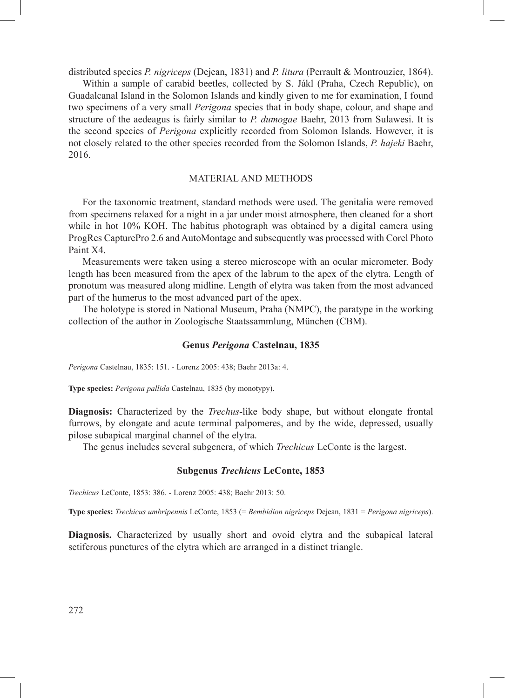distributed species *P. nigriceps* (Dejean, 1831) and *P. litura* (Perrault & Montrouzier, 1864).

Within a sample of carabid beetles, collected by S. Jákl (Praha, Czech Republic), on Guadalcanal Island in the Solomon Islands and kindly given to me for examination, I found two specimens of a very small *Perigona* species that in body shape, colour, and shape and structure of the aedeagus is fairly similar to *P. dumogae* Baehr, 2013 from Sulawesi. It is the second species of *Perigona* explicitly recorded from Solomon Islands. However, it is not closely related to the other species recorded from the Solomon Islands, *P. hajeki* Baehr, 2016.

### MATERIAL AND METHODS

For the taxonomic treatment, standard methods were used. The genitalia were removed from specimens relaxed for a night in a jar under moist atmosphere, then cleaned for a short while in hot 10% KOH. The habitus photograph was obtained by a digital camera using ProgRes CapturePro 2.6 and AutoMontage and subsequently was processed with Corel Photo Paint X4.

Measurements were taken using a stereo microscope with an ocular micrometer. Body length has been measured from the apex of the labrum to the apex of the elytra. Length of pronotum was measured along midline. Length of elytra was taken from the most advanced part of the humerus to the most advanced part of the apex.

The holotype is stored in National Museum, Praha (NMPC), the paratype in the working collection of the author in Zoologische Staatssammlung, München (CBM).

## **Genus** *Perigona* **Castelnau, 1835**

*Perigona* Castelnau, 1835: 151. - Lorenz 2005: 438; Baehr 2013a: 4.

**Type species:** *Perigona pallida* Castelnau, 1835 (by monotypy).

**Diagnosis:** Characterized by the *Trechus*-like body shape, but without elongate frontal furrows, by elongate and acute terminal palpomeres, and by the wide, depressed, usually pilose subapical marginal channel of the elytra.

The genus includes several subgenera, of which *Trechicus* LeConte is the largest.

## **Subgenus** *Trechicus* **LeConte, 1853**

*Trechicus* LeConte, 1853: 386. - Lorenz 2005: 438; Baehr 2013: 50.

**Type species:** *Trechicus umbripennis* LeConte, 1853 (= *Bembidion nigriceps* Dejean, 1831 = *Perigona nigriceps*).

**Diagnosis.** Characterized by usually short and ovoid elytra and the subapical lateral setiferous punctures of the elytra which are arranged in a distinct triangle.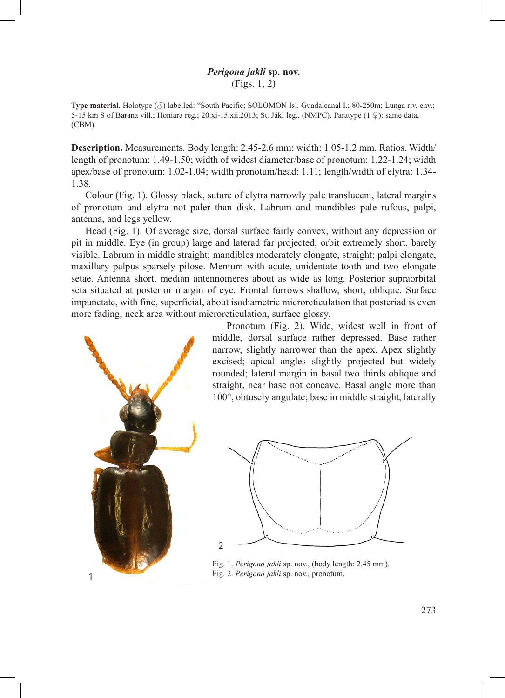# *Perigona jakli* **sp. nov.** (Figs. 1, 2)

**Type material.** Holotype (♂) labelled: "South Pacific; SOLOMON Isl. Guadalcanal I.; 80-250m; Lunga riv. env.; 5-15 km S of Barana vill.; Honiara reg.; 20.xi-15.xii.2013; St. Jákl leg., (NMPC). Paratype (1 ♀): same data, (CBM).

**Description.** Measurements. Body length: 2.45-2.6 mm; width: 1.05-1.2 mm. Ratios. Width/ length of pronotum: 1.49-1.50; width of widest diameter/base of pronotum: 1.22-1.24; width apex/base of pronotum: 1.02-1.04; width pronotum/head: 1.11; length/width of elytra: 1.34- 1.38.

Colour (Fig. 1). Glossy black, suture of elytra narrowly pale translucent, lateral margins of pronotum and elytra not paler than disk. Labrum and mandibles pale rufous, palpi, antenna, and legs yellow.

Head (Fig. 1). Of average size, dorsal surface fairly convex, without any depression or pit in middle. Eye (in group) large and laterad far projected; orbit extremely short, barely visible. Labrum in middle straight; mandibles moderately elongate, straight; palpi elongate, maxillary palpus sparsely pilose. Mentum with acute, unidentate tooth and two elongate setae. Antenna short, median antennomeres about as wide as long. Posterior supraorbital seta situated at posterior margin of eye. Frontal furrows shallow, short, oblique. Surface impunctate, with fine, superficial, about isodiametric microreticulation that posteriad is even more fading; neck area without microreticulation, surface glossy.



Pronotum (Fig. 2). Wide, widest well in front of middle, dorsal surface rather depressed. Base rather narrow, slightly narrower than the apex. Apex slightly excised; apical angles slightly projected but widely rounded; lateral margin in basal two thirds oblique and straight, near base not concave. Basal angle more than 100°, obtusely angulate; base in middle straight, laterally



Fig. 1. *Perigona jakli* sp. nov., (body length: 2.45 mm).

273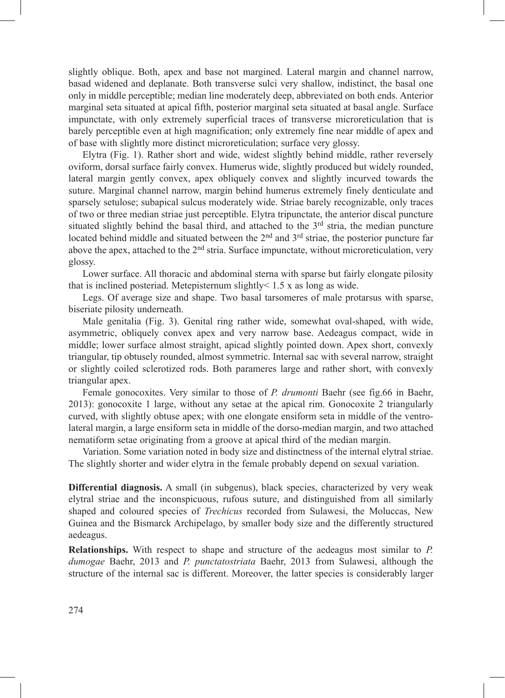slightly oblique. Both, apex and base not margined. Lateral margin and channel narrow, basad widened and deplanate. Both transverse sulci very shallow, indistinct, the basal one only in middle perceptible; median line moderately deep, abbreviated on both ends. Anterior marginal seta situated at apical fifth, posterior marginal seta situated at basal angle. Surface impunctate, with only extremely superficial traces of transverse microreticulation that is barely perceptible even at high magnification; only extremely fine near middle of apex and of base with slightly more distinct microreticulation; surface very glossy.

Elytra (Fig. 1). Rather short and wide, widest slightly behind middle, rather reversely oviform, dorsal surface fairly convex. Humerus wide, slightly produced but widely rounded, lateral margin gently convex, apex obliquely convex and slightly incurved towards the suture. Marginal channel narrow, margin behind humerus extremely finely denticulate and sparsely setulose; subapical sulcus moderately wide. Striae barely recognizable, only traces of two or three median striae just perceptible. Elytra tripunctate, the anterior discal puncture situated slightly behind the basal third, and attached to the  $3<sup>rd</sup>$  stria, the median puncture located behind middle and situated between the  $2<sup>nd</sup>$  and  $3<sup>rd</sup>$  striae, the posterior puncture far above the apex, attached to the  $2<sup>nd</sup>$  stria. Surface impunctate, without microreticulation, very glossy.

Lower surface. All thoracic and abdominal sterna with sparse but fairly elongate pilosity that is inclined posteriad. Metepisternum slightly< 1.5 x as long as wide.

Legs. Of average size and shape. Two basal tarsomeres of male protarsus with sparse, biseriate pilosity underneath.

Male genitalia (Fig. 3). Genital ring rather wide, somewhat oval-shaped, with wide, asymmetric, obliquely convex apex and very narrow base. Aedeagus compact, wide in middle; lower surface almost straight, apicad slightly pointed down. Apex short, convexly triangular, tip obtusely rounded, almost symmetric. Internal sac with several narrow, straight or slightly coiled sclerotized rods. Both parameres large and rather short, with convexly triangular apex.

Female gonocoxites. Very similar to those of *P. drumonti* Baehr (see fig.66 in Baehr, 2013): gonocoxite 1 large, without any setae at the apical rim. Gonocoxite 2 triangularly curved, with slightly obtuse apex; with one elongate ensiform seta in middle of the ventrolateral margin, a large ensiform seta in middle of the dorso-median margin, and two attached nematiform setae originating from a groove at apical third of the median margin.

Variation. Some variation noted in body size and distinctness of the internal elytral striae. The slightly shorter and wider elytra in the female probably depend on sexual variation.

**Differential diagnosis.** A small (in subgenus), black species, characterized by very weak elytral striae and the inconspicuous, rufous suture, and distinguished from all similarly shaped and coloured species of *Trechicus* recorded from Sulawesi, the Moluccas, New Guinea and the Bismarck Archipelago, by smaller body size and the differently structured aedeagus.

**Relationships.** With respect to shape and structure of the aedeagus most similar to *P. dumogae* Baehr, 2013 and *P. punctatostriata* Baehr, 2013 from Sulawesi, although the structure of the internal sac is different. Moreover, the latter species is considerably larger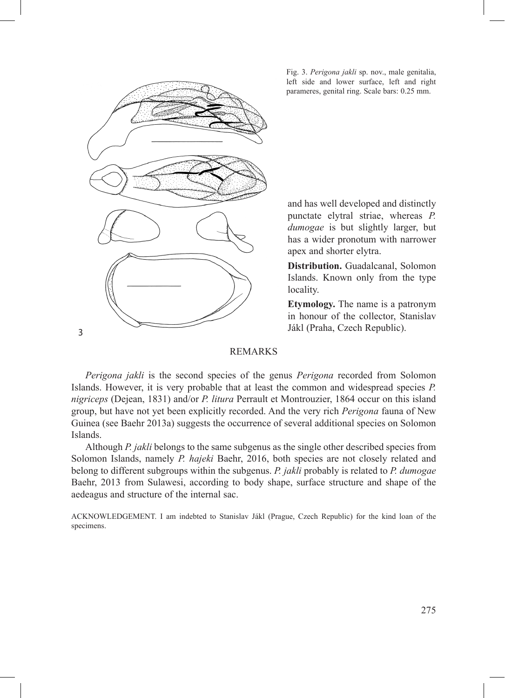

Fig. 3. *Perigona jakli* sp. nov., male genitalia, left side and lower surface, left and right parameres, genital ring. Scale bars: 0.25 mm.

and has well developed and distinctly punctate elytral striae, whereas *P. dumogae* is but slightly larger, but has a wider pronotum with narrower apex and shorter elytra.

**Distribution.** Guadalcanal, Solomon Islands. Known only from the type locality.

**Etymology.** The name is a patronym in honour of the collector, Stanislav Jákl (Praha, Czech Republic).

## REMARKS

*Perigona jakli* is the second species of the genus *Perigona* recorded from Solomon Islands. However, it is very probable that at least the common and widespread species *P. nigriceps* (Dejean, 1831) and/or *P. litura* Perrault et Montrouzier, 1864 occur on this island group, but have not yet been explicitly recorded. And the very rich *Perigona* fauna of New Guinea (see Baehr 2013a) suggests the occurrence of several additional species on Solomon Islands.

Although *P. jakli* belongs to the same subgenus as the single other described species from Solomon Islands, namely *P. hajeki* Baehr, 2016, both species are not closely related and belong to different subgroups within the subgenus. *P. jakli* probably is related to *P. dumogae* Baehr, 2013 from Sulawesi, according to body shape, surface structure and shape of the aedeagus and structure of the internal sac.

ACKNOWLEDGEMENT. I am indebted to Stanislav Jákl (Prague, Czech Republic) for the kind loan of the specimens.